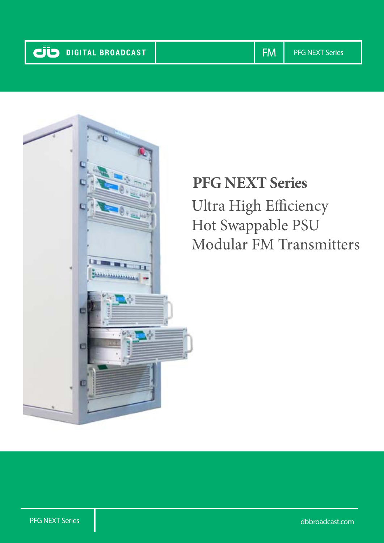

# **PFG NEXT Series**

Ultra High Efficiency Hot Swappable PSU Modular FM Transmitters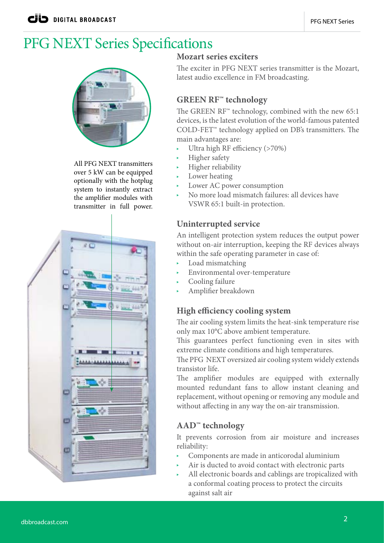## PFG NEXT Series Specifications



All PFG NEXT transmitters over 5 kW can be equipped optionally with the hotplug system to instantly extract the amplifier modules with transmitter in full power.



#### **Mozart series exciters**

The exciter in PFG NEXT series transmitter is the Mozart, latest audio excellence in FM broadcasting.

### **GREEN RF™ technology**

The GREEN RF™ technology, combined with the new 65:1 devices, is the latest evolution of the world-famous patented COLD-FET™ technology applied on DB's transmitters. The main advantages are:

- Ultra high RF efficiency (>70%)
- Higher safety
- Higher reliability
- Lower heating
- Lower AC power consumption
- No more load mismatch failures: all devices have VSWR 65:1 built-in protection.

### **Uninterrupted service**

An intelligent protection system reduces the output power without on-air interruption, keeping the RF devices always within the safe operating parameter in case of:

- $\blacktriangleright$  Load mismatching
- Environmental over-temperature
- Cooling failure
- Amplifier breakdown

#### **High efficiency cooling system**

The air cooling system limits the heat-sink temperature rise only max 10°C above ambient temperature.

This guarantees perfect functioning even in sites with extreme climate conditions and high temperatures.

The PFG NEXT oversized air cooling system widely extends transistor life.

The amplifier modules are equipped with externally mounted redundant fans to allow instant cleaning and replacement, without opening or removing any module and without affecting in any way the on-air transmission.

### **AAD™ technology**

It prevents corrosion from air moisture and increases reliability:

- Components are made in anticorodal aluminium
- Air is ducted to avoid contact with electronic parts
- All electronic boards and cablings are tropicalized with a conformal coating process to protect the circuits against salt air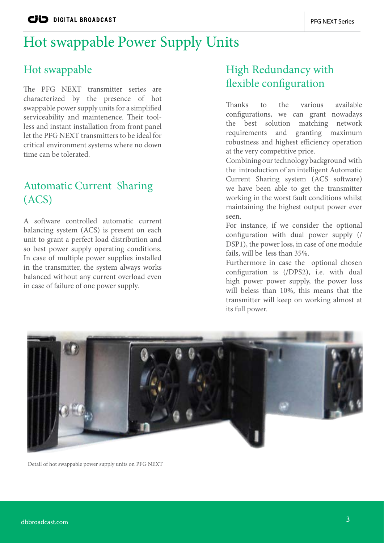## Hot swappable Power Supply Units

### Hot swappable

The PFG NEXT transmitter series are characterized by the presence of hot swappable power supply units for a simplified serviceability and maintenence. Their toolless and instant installation from front panel let the PFG NEXT transmitters to be ideal for critical environment systems where no down time can be tolerated.

## Automatic Current Sharing (ACS)

A software controlled automatic current balancing system (ACS) is present on each unit to grant a perfect load distribution and so best power supply operating conditions. In case of multiple power supplies installed in the transmitter, the system always works balanced without any current overload even in case of failure of one power supply.

## High Redundancy with flexible configuration

Thanks to the various available configurations, we can grant nowadays the best solution matching network requirements and granting maximum robustness and highest efficiency operation at the very competitive price.

Combining our technology background with the introduction of an intelligent Automatic Current Sharing system (ACS software) we have been able to get the transmitter working in the worst fault conditions whilst maintaining the highest output power ever seen.

For instance, if we consider the optional configuration with dual power supply (/ DSP1), the power loss, in case of one module fails, will be less than 35%.

Furthermore in case the optional chosen configuration is (/DPS2), i.e. with dual high power power supply, the power loss will beless than 10%, this means that the transmitter will keep on working almost at its full power.



Detail of hot swappable power supply units on PFG NEXT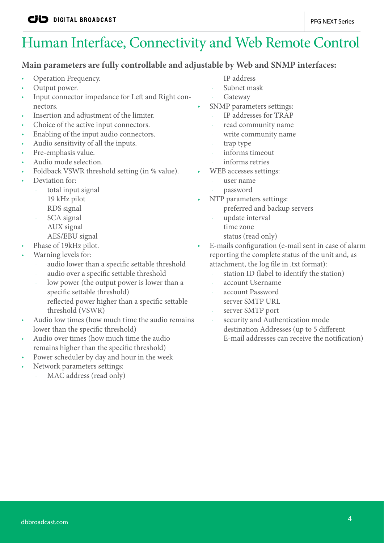# Human Interface, Connectivity and Web Remote Control

#### **Main parameters are fully controllable and adjustable by Web and SNMP interfaces:**

- Operation Frequency.
- Output power.
- Input connector impedance for Left and Right connectors.
- Insertion and adjustment of the limiter.
- Choice of the active input connectors.
- Enabling of the input audio connectors.
- Audio sensitivity of all the inputs.
- Pre-emphasis value.
- Audio mode selection.
- Foldback VSWR threshold setting (in % value).
- Deviation for:
	- total input signal
	- 19 kHz pilot
	- RDS signal
	- SCA signal
	- AUX signal
	- AES/EBU signal
- Phase of 19kHz pilot.
- Warning levels for:
	- audio lower than a specific settable threshold
	- audio over a specific settable threshold
	- low power (the output power is lower than a specific settable threshold)
	- reflected power higher than a specific settable threshold (VSWR)
- Audio low times (how much time the audio remains lower than the specific threshold)
- Audio over times (how much time the audio remains higher than the specific threshold)
- Power scheduler by day and hour in the week
- Network parameters settings:
	- MAC address (read only)
- IP address
- Subnet mask
- **Gateway**
- SNMP parameters settings:
	- IP addresses for TRAP
	- read community name
	- write community name
	- trap type
	- informs timeout
	- informs retries
- WEB accesses settings:
	- user name
	- password
- NTP parameters settings:
	- preferred and backup servers
	- update interval
	- time zone
	- status (read only)
- E-mails configuration (e-mail sent in case of alarm reporting the complete status of the unit and, as attachment, the log file in .txt format):
	- station ID (label to identify the station)
	- account Username
	- account Password
	- server SMTP URL
	- server SMTP port
	- security and Authentication mode
	- destination Addresses (up to 5 different E-mail addresses can receive the notification)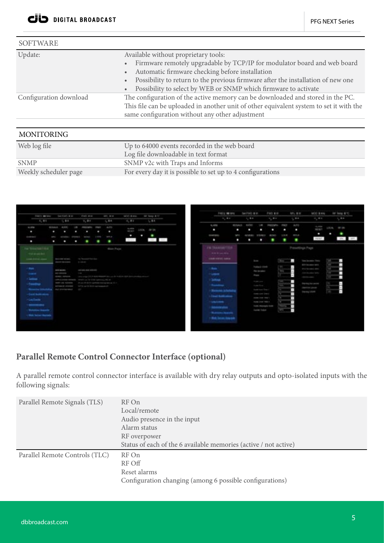| <b>SOFTWARE</b>        |                                                                                                                                                                                                                                                                                                                                                                                |  |
|------------------------|--------------------------------------------------------------------------------------------------------------------------------------------------------------------------------------------------------------------------------------------------------------------------------------------------------------------------------------------------------------------------------|--|
| Update:                | Available without proprietary tools:<br>Firmware remotely upgradable by TCP/IP for modulator board and web board<br>$\bullet$<br>Automatic firmware checking before installation<br>$\bullet$<br>Possibility to return to the previous firmware after the installation of new one<br>$\bullet$<br>Possibility to select by WEB or SNMP which firmware to activate<br>$\bullet$ |  |
| Configuration download | The configuration of the active memory can be downloaded and stored in the PC.<br>This file can be uploaded in another unit of other equivalent system to set it with the<br>same configuration without any other adjustment                                                                                                                                                   |  |
| <b>MONITORING</b>      |                                                                                                                                                                                                                                                                                                                                                                                |  |
| Web log file           | Up to 64000 events recorded in the web board<br>Log file downloadable in text format                                                                                                                                                                                                                                                                                           |  |
| <b>SNMP</b>            | SNMP v2c with Traps and Informs                                                                                                                                                                                                                                                                                                                                                |  |
| Weekly scheduler page  | For every day it is possible to set up to 4 configurations                                                                                                                                                                                                                                                                                                                     |  |



#### **Parallel Remote Control Connector Interface (optional)**

A parallel remote control connector interface is available with dry relay outputs and opto-isolated inputs with the following signals:

| Parallel Remote Signals (TLS)  | RF On<br>Local/remote<br>Audio presence in the input<br>Alarm status<br>RF overpower<br>Status of each of the 6 available memories (active / not active) |  |
|--------------------------------|----------------------------------------------------------------------------------------------------------------------------------------------------------|--|
| Parallel Remote Controls (TLC) | RF On<br>RF Off<br>Reset alarms<br>Configuration changing (among 6 possible configurations)                                                              |  |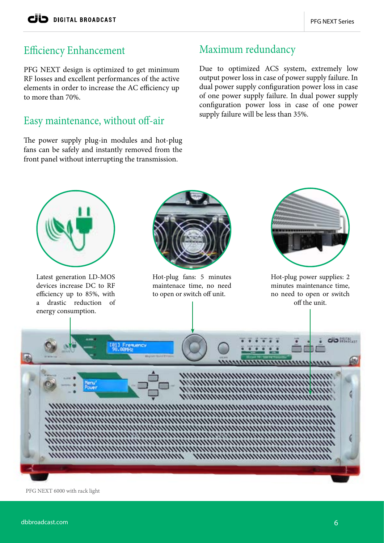## Efficiency Enhancement

PFG NEXT design is optimized to get minimum RF losses and excellent performances of the active elements in order to increase the AC efficiency up to more than 70%.

## supply failure will be less than 35%. Easy maintenance, without off-air

The power supply plug-in modules and hot-plug fans can be safely and instantly removed from the front panel without interrupting the transmission.

## Maximum redundancy

Due to optimized ACS system, extremely low output power loss in case of power supply failure. In dual power supply configuration power loss in case of one power supply failure. In dual power supply configuration power loss in case of one power



PFG NEXT 6000 with rack light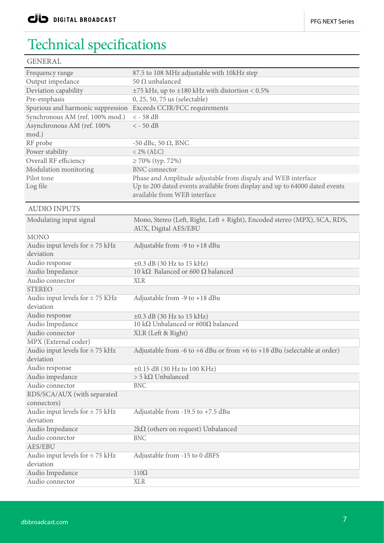## Technical specifications

| <b>GENERAL</b>                      |                                                                            |  |  |
|-------------------------------------|----------------------------------------------------------------------------|--|--|
| Frequency range                     | 87.5 to 108 MHz adjustable with 10kHz step                                 |  |  |
| Output impedance                    | 50 Ω unbalanced                                                            |  |  |
| Deviation capability                | $\pm 75$ kHz, up to $\pm 180$ kHz with distortion < 0.5%                   |  |  |
| Pre-emphasis                        | 0, 25, 50, 75 us (selectable)                                              |  |  |
| Spurious and harmonic suppression   | Exceeds CCIR/FCC requirements                                              |  |  |
| Synchronous AM (ref. 100% mod.)     | $<-58$ dB                                                                  |  |  |
| Asynchronous AM (ref. 100%          | $<-50$ dB                                                                  |  |  |
| mod.)                               |                                                                            |  |  |
| RF probe                            | -50 dBc, 50 $\Omega$ , BNC                                                 |  |  |
| Power stability                     | $< 2\%$ (ALC)                                                              |  |  |
| Overall RF efficiency               | $\geq 70\%$ (typ. 72%)                                                     |  |  |
| Modulation monitoring               | <b>BNC</b> connector                                                       |  |  |
| Pilot tone                          | Phase and Amplitude adjustable from dispaly and WEB interface              |  |  |
| Log file                            | Up to 200 dated events available from display and up to 64000 dated events |  |  |
|                                     | available from WEB interface                                               |  |  |
|                                     |                                                                            |  |  |
| <b>AUDIO INPUTS</b>                 |                                                                            |  |  |
| Modulating input signal             | Mono, Stereo (Left, Right, Left + Right), Encoded stereo (MPX), SCA, RDS,  |  |  |
|                                     | AUX, Digital AES/EBU                                                       |  |  |
| <b>MONO</b>                         |                                                                            |  |  |
| Audio input levels for $\pm$ 75 kHz | Adjustable from -9 to +18 dBu                                              |  |  |
| deviation                           |                                                                            |  |  |
| Audio response                      | $\pm 0.3$ dB (30 Hz to 15 kHz)                                             |  |  |
| Audio Impedance                     | 10 k $\Omega$ Balanced or 600 $\Omega$ balanced                            |  |  |
| Audio connector                     | <b>XLR</b>                                                                 |  |  |
| <b>STEREO</b>                       |                                                                            |  |  |
| Audio input levels for $\pm$ 75 KHz | Adjustable from -9 to +18 dBu                                              |  |  |
| deviation                           |                                                                            |  |  |
| Audio response                      | $\pm 0.3$ dB (30 Hz to 15 kHz)                                             |  |  |
| Audio Impedance                     | 10 kΩ Unbalanced or 600Ω balanced                                          |  |  |
| Audio connector                     | XLR (Left & Right)                                                         |  |  |
| MPX (External coder)                |                                                                            |  |  |
| Audio input levels for $\pm$ 75 kHz | Adjustable from -6 to +6 dBu or from +6 to +18 dBu (selectable at order)   |  |  |
| deviation                           |                                                                            |  |  |
| Audio response                      | $\pm 0.15$ dB (30 Hz to 100 KHz)                                           |  |  |
| Audio impedance                     | $>$ 5 kΩ Unbalanced                                                        |  |  |
| Audio connector                     | <b>BNC</b>                                                                 |  |  |
| RDS/SCA/AUX (with separated         |                                                                            |  |  |
| connectors)                         |                                                                            |  |  |
| Audio input levels for $\pm$ 75 kHz | Adjustable from -19.5 to +7.5 dBu                                          |  |  |
| deviation                           |                                                                            |  |  |
| Audio Impedance                     | $2k\Omega$ (others on request) Unbalanced                                  |  |  |
| Audio connector                     | <b>BNC</b>                                                                 |  |  |
| <b>AES/EBU</b>                      |                                                                            |  |  |
| Audio input levels for $\pm$ 75 kHz | Adjustable from -15 to 0 dBFS                                              |  |  |
| deviation                           |                                                                            |  |  |
| Audio Impedance                     | $110\Omega$                                                                |  |  |
| Audio connector                     | <b>XLR</b>                                                                 |  |  |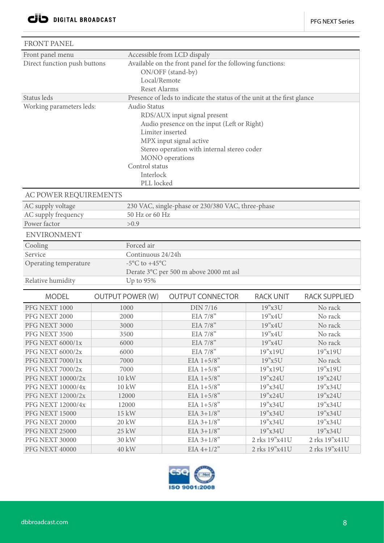| <b>FRONT PANEL</b>                     |                                                     |                                                                                                                                                                                                                                                    |                    |                      |  |  |  |
|----------------------------------------|-----------------------------------------------------|----------------------------------------------------------------------------------------------------------------------------------------------------------------------------------------------------------------------------------------------------|--------------------|----------------------|--|--|--|
| Front panel menu                       |                                                     | Accessible from LCD dispaly                                                                                                                                                                                                                        |                    |                      |  |  |  |
| Direct function push buttons           |                                                     | Available on the front panel for the following functions:<br>ON/OFF (stand-by)<br>Local/Remote<br><b>Reset Alarms</b>                                                                                                                              |                    |                      |  |  |  |
| Status leds                            |                                                     | Presence of leds to indicate the status of the unit at the first glance                                                                                                                                                                            |                    |                      |  |  |  |
| Working parameters leds:               |                                                     | <b>Audio Status</b><br>RDS/AUX input signal present<br>Audio presence on the input (Left or Right)<br>Limiter inserted<br>MPX input signal active<br>Stereo operation with internal stereo coder<br>MONO operations<br>Control status<br>Interlock |                    |                      |  |  |  |
| PLL locked<br>AC POWER REQUIREMENTS    |                                                     |                                                                                                                                                                                                                                                    |                    |                      |  |  |  |
| AC supply voltage                      |                                                     | 230 VAC, single-phase or 230/380 VAC, three-phase                                                                                                                                                                                                  |                    |                      |  |  |  |
| AC supply frequency                    |                                                     | 50 Hz or 60 Hz                                                                                                                                                                                                                                     |                    |                      |  |  |  |
| Power factor                           | >0.9                                                |                                                                                                                                                                                                                                                    |                    |                      |  |  |  |
| <b>ENVIRONMENT</b>                     |                                                     |                                                                                                                                                                                                                                                    |                    |                      |  |  |  |
| Cooling                                | Forced air                                          |                                                                                                                                                                                                                                                    |                    |                      |  |  |  |
| Service                                | Continuous 24/24h                                   |                                                                                                                                                                                                                                                    |                    |                      |  |  |  |
|                                        | Operating temperature<br>-5°C to +45°C              |                                                                                                                                                                                                                                                    |                    |                      |  |  |  |
| Relative humidity                      | Derate 3°C per 500 m above 2000 mt asl<br>Up to 95% |                                                                                                                                                                                                                                                    |                    |                      |  |  |  |
|                                        |                                                     |                                                                                                                                                                                                                                                    |                    |                      |  |  |  |
| <b>MODEL</b>                           | <b>OUTPUT POWER (W)</b>                             | <b>OUTPUT CONNECTOR</b>                                                                                                                                                                                                                            | <b>RACK UNIT</b>   | <b>RACK SUPPLIED</b> |  |  |  |
| PFG NEXT 1000                          | 1000                                                | DIN 7/16                                                                                                                                                                                                                                           | 19"x3U             | No rack              |  |  |  |
| PFG NEXT 2000                          | 2000                                                | EIA $7/8$ "                                                                                                                                                                                                                                        | 19"x4U             | No rack              |  |  |  |
| PFG NEXT 3000                          | 3000                                                | EIA 7/8"                                                                                                                                                                                                                                           | 19"x4U             | No rack              |  |  |  |
| PFG NEXT 3500                          | 3500                                                | EIA 7/8"                                                                                                                                                                                                                                           | 19"x4U             | No rack              |  |  |  |
| PFG NEXT 6000/1x                       | 6000                                                | EIA $7/8$ "                                                                                                                                                                                                                                        | 19"x4U             | No rack              |  |  |  |
| PFG NEXT 6000/2x                       | 6000                                                | EIA $7/8$ "                                                                                                                                                                                                                                        | 19"x19U            | 19"x19U              |  |  |  |
| <b>PFG NEXT 7000/1x</b>                | 7000                                                | EIA $1+5/8$ "                                                                                                                                                                                                                                      | 19"x5U             | No rack              |  |  |  |
| <b>PFG NEXT 7000/2x</b>                | 7000                                                | EIA $1+5/8$ "                                                                                                                                                                                                                                      | 19"x19U            | 19"x19U              |  |  |  |
| PFG NEXT 10000/2x<br>PFG NEXT 10000/4x | 10 kW<br>10 kW                                      | EIA $1+5/8$ "                                                                                                                                                                                                                                      | 19"x24U<br>19"x34U | 19"x24U              |  |  |  |
| PFG NEXT 12000/2x                      | 12000                                               | EIA $1+5/8$ "<br>EIA $1+5/8$ "                                                                                                                                                                                                                     | 19"x24U            | 19"x34U<br>19"x24U   |  |  |  |
| PFG NEXT 12000/4x                      | 12000                                               | EIA $1+5/8$ "                                                                                                                                                                                                                                      | 19"x34U            | 19"x34U              |  |  |  |
| <b>PFG NEXT 15000</b>                  | 15 kW                                               | $EIA 3+1/8"$                                                                                                                                                                                                                                       | 19"x34U            | 19"x34U              |  |  |  |
| <b>PFG NEXT 20000</b>                  | 20 kW                                               | $EIA 3+1/8"$                                                                                                                                                                                                                                       | 19"x34U            | 19"x34U              |  |  |  |
| PFG NEXT 25000                         | 25 kW                                               | $EIA 3+1/8"$                                                                                                                                                                                                                                       | 19"x34U            | 19"x34U              |  |  |  |
| PFG NEXT 30000                         | 30 kW                                               | $EIA 3+1/8"$                                                                                                                                                                                                                                       | 2 rks 19"x41U      | 2 rks 19"x41U        |  |  |  |
| <b>PFG NEXT 40000</b>                  | <b>40 kW</b>                                        | $EIA 4+1/2"$                                                                                                                                                                                                                                       | 2 rks 19"x41U      | 2 rks 19"x41U        |  |  |  |